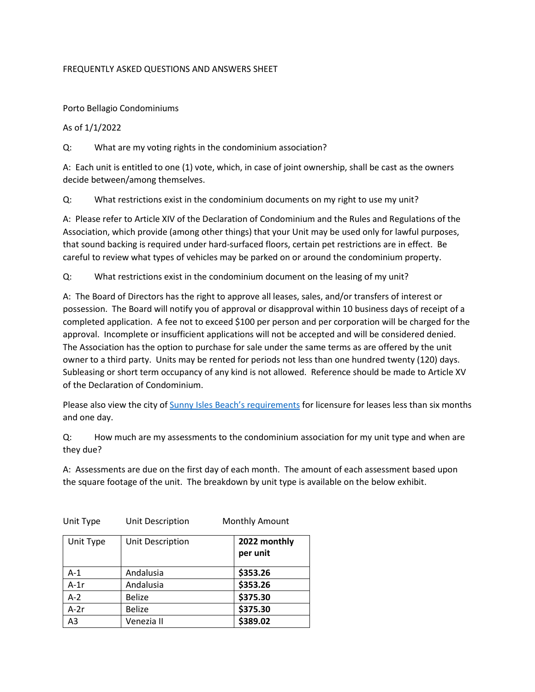## FREQUENTLY ASKED QUESTIONS AND ANSWERS SHEET

Porto Bellagio Condominiums

## As of 1/1/2022

Q: What are my voting rights in the condominium association?

A: Each unit is entitled to one (1) vote, which, in case of joint ownership, shall be cast as the owners decide between/among themselves.

Q: What restrictions exist in the condominium documents on my right to use my unit?

A: Please refer to Article XIV of the Declaration of Condominium and the Rules and Regulations of the Association, which provide (among other things) that your Unit may be used only for lawful purposes, that sound backing is required under hard-surfaced floors, certain pet restrictions are in effect. Be careful to review what types of vehicles may be parked on or around the condominium property.

Q: What restrictions exist in the condominium document on the leasing of my unit?

A: The Board of Directors has the right to approve all leases, sales, and/or transfers of interest or possession. The Board will notify you of approval or disapproval within 10 business days of receipt of a completed application. A fee not to exceed \$100 per person and per corporation will be charged for the approval. Incomplete or insufficient applications will not be accepted and will be considered denied. The Association has the option to purchase for sale under the same terms as are offered by the unit owner to a third party. Units may be rented for periods not less than one hundred twenty (120) days. Subleasing or short term occupancy of any kind is not allowed. Reference should be made to Article XV of the Declaration of Condominium.

Please also view the city of [Sunny Isles Beach's requirements](https://www.sibfl.net/dept_zoning/short-term-rentals/) for licensure for leases less than six months and one day.

Q: How much are my assessments to the condominium association for my unit type and when are they due?

A: Assessments are due on the first day of each month. The amount of each assessment based upon the square footage of the unit. The breakdown by unit type is available on the below exhibit.

| Unit Type | UNIL Description | <b>NOTIGALLY AMOUTE</b>  |  |
|-----------|------------------|--------------------------|--|
| Unit Type | Unit Description | 2022 monthly<br>per unit |  |
| $A-1$     | Andalusia        | \$353.26                 |  |
| $A-1r$    | Andalusia        | \$353.26                 |  |
| $A-2$     | <b>Belize</b>    | \$375.30                 |  |
| $A-2r$    | <b>Belize</b>    | \$375.30                 |  |
| A3        | Venezia II       | \$389.02                 |  |

Unit Type Unit Description Monthly Amount